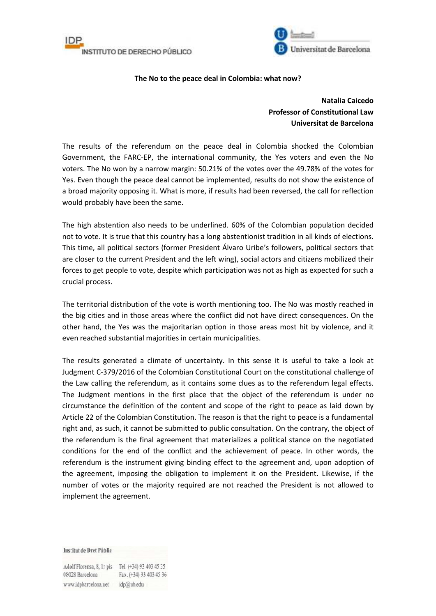



## **The No to the peace deal in Colombia: what now?**

## **Natalia Caicedo Professor of Constitutional Law Universitat de Barcelona**

The results of the referendum on the peace deal in Colombia shocked the Colombian Government, the FARC-EP, the international community, the Yes voters and even the No voters. The No won by a narrow margin: 50.21% of the votes over the 49.78% of the votes for Yes. Even though the peace deal cannot be implemented, results do not show the existence of a broad majority opposing it. What is more, if results had been reversed, the call for reflection would probably have been the same.

The high abstention also needs to be underlined. 60% of the Colombian population decided not to vote. It is true that this country has a long abstentionist tradition in all kinds of elections. This time, all political sectors (former President Álvaro Uribe's followers, political sectors that are closer to the current President and the left wing), social actors and citizens mobilized their forces to get people to vote, despite which participation was not as high as expected for such a crucial process.

The territorial distribution of the vote is worth mentioning too. The No was mostly reached in the big cities and in those areas where the conflict did not have direct consequences. On the other hand, the Yes was the majoritarian option in those areas most hit by violence, and it even reached substantial majorities in certain municipalities.

The results generated a climate of uncertainty. In this sense it is useful to take a look at Judgment C-379/2016 of the Colombian Constitutional Court on the constitutional challenge of the Law calling the referendum, as it contains some clues as to the referendum legal effects. The Judgment mentions in the first place that the object of the referendum is under no circumstance the definition of the content and scope of the right to peace as laid down by Article 22 of the Colombian Constitution. The reason is that the right to peace is a fundamental right and, as such, it cannot be submitted to public consultation. On the contrary, the object of the referendum is the final agreement that materializes a political stance on the negotiated conditions for the end of the conflict and the achievement of peace. In other words, the referendum is the instrument giving binding effect to the agreement and, upon adoption of the agreement, imposing the obligation to implement it on the President. Likewise, if the number of votes or the majority required are not reached the President is not allowed to implement the agreement.

Institut de Dret Públic

Adolf Florensa, 8, Ir pis Tel. (+34) 93 403 45 35 08028 Barcelona Fax. (+34) 93 403 45 36 www.idpbarcelona.net idp@ub.edu